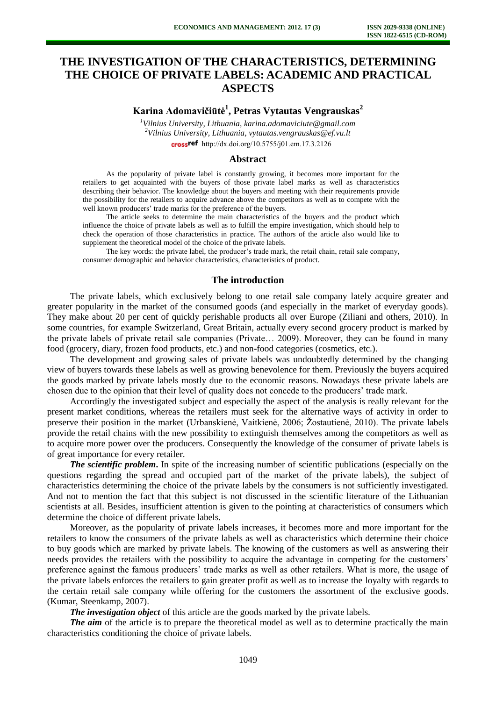# **THE INVESTIGATION OF THE CHARACTERISTICS, DETERMINING THE CHOICE OF PRIVATE LABELS: ACADEMIC AND PRACTICAL ASPECTS**

**Karina Adomavičiūtė<sup>1</sup> , Petras Vytautas Vengrauskas<sup>2</sup>**

*<sup>1</sup>Vilnius University, Lithuania, [karina.adomaviciute@gmail.com](mailto:karina.adomaviciute@gmail.com) <sup>2</sup>Vilnius University, Lithuania, [vytautas.vengrauskas@ef.vu.lt](mailto:vytautas.vengrauskas@ef.vu.lt)* crossref [http://dx.doi.org/10.5755/j01.e](http://dx.doi.org/10.5755/j01.em.17.3.2126)m.17.3.2126

### **Abstract**

As the popularity of private label is constantly growing, it becomes more important for the retailers to get acquainted with the buyers of those private label marks as well as characteristics describing their behavior. The knowledge about the buyers and meeting with their requirements provide the possibility for the retailers to acquire advance above the competitors as well as to compete with the well known producers' trade marks for the preference of the buyers.

The article seeks to determine the main characteristics of the buyers and the product which influence the choice of private labels as well as to fulfill the empire investigation, which should help to check the operation of those characteristics in practice. The authors of the article also would like to supplement the theoretical model of the choice of the private labels.

The key words: the private label, the producer's trade mark, the retail chain, retail sale company, consumer demographic and behavior characteristics, characteristics of product.

### **The introduction**

The private labels, which exclusively belong to one retail sale company lately acquire greater and greater popularity in the market of the consumed goods (and especially in the market of everyday goods). They make about 20 per cent of quickly perishable products all over Europe (Ziliani and others, 2010). In some countries, for example Switzerland, Great Britain, actually every second grocery product is marked by the private labels of private retail sale companies (Private… 2009). Moreover, they can be found in many food (grocery, diary, frozen food products, etc.) and non-food categories (cosmetics, etc.).

The development and growing sales of private labels was undoubtedly determined by the changing view of buyers towards these labels as well as growing benevolence for them. Previously the buyers acquired the goods marked by private labels mostly due to the economic reasons. Nowadays these private labels are chosen due to the opinion that their level of quality does not concede to the producers' trade mark.

Accordingly the investigated subject and especially the aspect of the analysis is really relevant for the present market conditions, whereas the retailers must seek for the alternative ways of activity in order to preserve their position in the market (Urbanskienė, Vaitkienė, 2006; Žostautienė, 2010). The private labels provide the retail chains with the new possibility to extinguish themselves among the competitors as well as to acquire more power over the producers. Consequently the knowledge of the consumer of private labels is of great importance for every retailer.

*The scientific problem***.** In spite of the increasing number of scientific publications (especially on the questions regarding the spread and occupied part of the market of the private labels), the subject of characteristics determining the choice of the private labels by the consumers is not sufficiently investigated. And not to mention the fact that this subject is not discussed in the scientific literature of the Lithuanian scientists at all. Besides, insufficient attention is given to the pointing at characteristics of consumers which determine the choice of different private labels.

Moreover, as the popularity of private labels increases, it becomes more and more important for the retailers to know the consumers of the private labels as well as characteristics which determine their choice to buy goods which are marked by private labels. The knowing of the customers as well as answering their needs provides the retailers with the possibility to acquire the advantage in competing for the customers' preference against the famous producers' trade marks as well as other retailers. What is more, the usage of the private labels enforces the retailers to gain greater profit as well as to increase the loyalty with regards to the certain retail sale company while offering for the customers the assortment of the exclusive goods. (Kumar, Steenkamp, 2007).

*The investigation object* of this article are the goods marked by the private labels.

*The aim* of the article is to prepare the theoretical model as well as to determine practically the main characteristics conditioning the choice of private labels.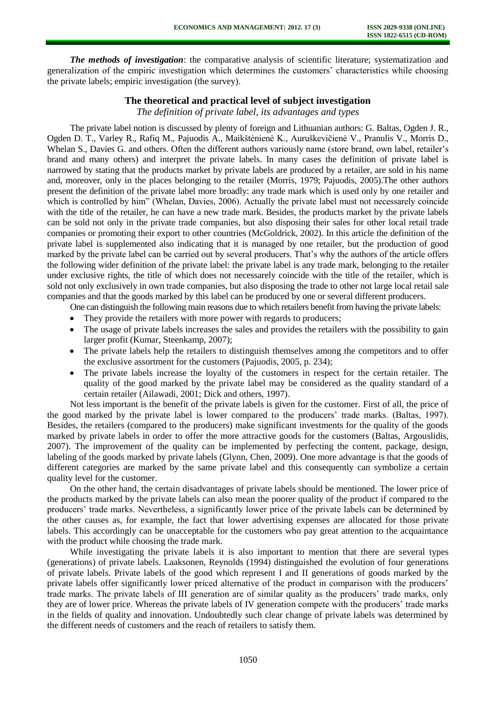*The methods of investigation*: the comparative analysis of scientific literature; systematization and generalization of the empiric investigation which determines the customers' characteristics while choosing the private labels; empiric investigation (the survey).

# **The theoretical and practical level of subject investigation**

*The definition of private label, its advantages and types* 

The private label notion is discussed by plenty of foreign and Lithuanian authors: G. Baltas, Ogden J. R., Ogden D. T., Varley R., Rafiq M., Pajuodis A., Maikštėnienė K., Auruškevičienė V., Pranulis V., Morris D., Whelan S., Davies G. and others. Often the different authors variously name (store brand, own label, retailer's brand and many others) and interpret the private labels. In many cases the definition of private label is narrowed by stating that the products market by private labels are produced by a retailer, are sold in his name and, moreover, only in the places belonging to the retailer (Morris, 1979; Pajuodis, 2005).The other authors present the definition of the private label more broadly: any trade mark which is used only by one retailer and which is controlled by him" (Whelan, Davies, 2006). Actually the private label must not necessarely coincide with the title of the retailer, he can have a new trade mark. Besides, the products market by the private labels can be sold not only in the private trade companies, but also disposing their sales for other local retail trade companies or promoting their export to other countries (McGoldrick, 2002). In this article the definition of the private label is supplemented also indicating that it is managed by one retailer, but the production of good marked by the private label can be carried out by several producers. That's why the authors of the article offers the following wider definition of the private label: the private label is any trade mark, belonging to the retailer under exclusive rights, the title of which does not necessarely coincide with the title of the retailer, which is sold not only exclusively in own trade companies, but also disposing the trade to other not large local retail sale companies and that the goods marked by this label can be produced by one or several different producers.

One can distinguish the following main reasons due to which retailers benefit from having the private labels:

- They provide the retailers with more power with regards to producers;
- The usage of private labels increases the sales and provides the retailers with the possibility to gain larger profit (Kumar, Steenkamp, 2007);
- The private labels help the retailers to distinguish themselves among the competitors and to offer  $\bullet$ the exclusive assortment for the customers (Pajuodis, 2005, p. 234);
- The private labels increase the loyalty of the customers in respect for the certain retailer. The quality of the good marked by the private label may be considered as the quality standard of a certain retailer (Ailawadi, 2001; Dick and others, 1997).

Not less important is the benefit of the private labels is given for the customer. First of all, the price of the good marked by the private label is lower compared to the producers' trade marks. (Baltas, 1997). Besides, the retailers (compared to the producers) make significant investments for the quality of the goods marked by private labels in order to offer the more attractive goods for the customers (Baltas, Argouslidis, 2007). The improvement of the quality can be implemented by perfecting the content, package, design, labeling of the goods marked by private labels (Glynn, Chen, 2009). One more advantage is that the goods of different categories are marked by the same private label and this consequently can symbolize a certain quality level for the customer.

On the other hand, the certain disadvantages of private labels should be mentioned. The lower price of the products marked by the private labels can also mean the poorer quality of the product if compared to the producers' trade marks. Nevertheless, a significantly lower price of the private labels can be determined by the other causes as, for example, the fact that lower advertising expenses are allocated for those private labels. This accordingly can be unacceptable for the customers who pay great attention to the acquaintance with the product while choosing the trade mark.

While investigating the private labels it is also important to mention that there are several types (generations) of private labels. Laaksonen, Reynolds (1994) distinguished the evolution of four generations of private labels. Private labels of the good which represent I and II generations of goods marked by the private labels offer significantly lower priced alternative of the product in comparison with the producers' trade marks. The private labels of III generation are of similar quality as the producers' trade marks, only they are of lower price. Whereas the private labels of IV generation compete with the producers' trade marks in the fields of quality and innovation. Undoubtedly such clear change of private labels was determined by the different needs of customers and the reach of retailers to satisfy them.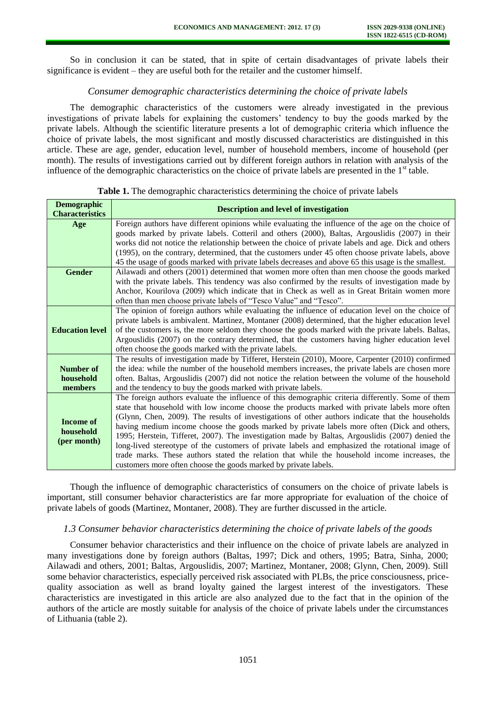So in conclusion it can be stated, that in spite of certain disadvantages of private labels their significance is evident – they are useful both for the retailer and the customer himself.

# *Consumer demographic characteristics determining the choice of private labels*

The demographic characteristics of the customers were already investigated in the previous investigations of private labels for explaining the customers' tendency to buy the goods marked by the private labels. Although the scientific literature presents a lot of demographic criteria which influence the choice of private labels, the most significant and mostly discussed characteristics are distinguished in this article. These are age, gender, education level, number of household members, income of household (per month). The results of investigations carried out by different foreign authors in relation with analysis of the influence of the demographic characteristics on the choice of private labels are presented in the  $1<sup>st</sup>$  table.

| <b>Demographic</b><br><b>Characteristics</b> | <b>Description and level of investigation</b>                                                       |  |  |  |  |
|----------------------------------------------|-----------------------------------------------------------------------------------------------------|--|--|--|--|
| Age                                          | Foreign authors have different opinions while evaluating the influence of the age on the choice of  |  |  |  |  |
|                                              | goods marked by private labels. Cotteril and others (2000), Baltas, Argouslidis (2007) in their     |  |  |  |  |
|                                              | works did not notice the relationship between the choice of private labels and age. Dick and others |  |  |  |  |
|                                              | (1995), on the contrary, determined, that the customers under 45 often choose private labels, above |  |  |  |  |
|                                              | 45 the usage of goods marked with private labels decreases and above 65 this usage is the smallest. |  |  |  |  |
| <b>Gender</b>                                | Ailawadi and others (2001) determined that women more often than men choose the goods marked        |  |  |  |  |
|                                              | with the private labels. This tendency was also confirmed by the results of investigation made by   |  |  |  |  |
|                                              | Anchor, Kourilova (2009) which indicate that in Check as well as in Great Britain women more        |  |  |  |  |
|                                              | often than men choose private labels of "Tesco Value" and "Tesco".                                  |  |  |  |  |
| <b>Education level</b>                       | The opinion of foreign authors while evaluating the influence of education level on the choice of   |  |  |  |  |
|                                              | private labels is ambivalent. Martinez, Montaner (2008) determined, that the higher education level |  |  |  |  |
|                                              | of the customers is, the more seldom they choose the goods marked with the private labels. Baltas,  |  |  |  |  |
|                                              | Argouslidis (2007) on the contrary determined, that the customers having higher education level     |  |  |  |  |
|                                              | often choose the goods marked with the private labels.                                              |  |  |  |  |
|                                              | The results of investigation made by Tifferet, Herstein (2010), Moore, Carpenter (2010) confirmed   |  |  |  |  |
| <b>Number of</b>                             | the idea: while the number of the household members increases, the private labels are chosen more   |  |  |  |  |
| household                                    | often. Baltas, Argouslidis (2007) did not notice the relation between the volume of the household   |  |  |  |  |
| members                                      | and the tendency to buy the goods marked with private labels.                                       |  |  |  |  |
|                                              | The foreign authors evaluate the influence of this demographic criteria differently. Some of them   |  |  |  |  |
|                                              | state that household with low income choose the products marked with private labels more often      |  |  |  |  |
| <b>Income of</b>                             | (Glynn, Chen, 2009). The results of investigations of other authors indicate that the households    |  |  |  |  |
| household                                    | having medium income choose the goods marked by private labels more often (Dick and others,         |  |  |  |  |
| (per month)                                  | 1995; Herstein, Tifferet, 2007). The investigation made by Baltas, Argouslidis (2007) denied the    |  |  |  |  |
|                                              | long-lived stereotype of the customers of private labels and emphasized the rotational image of     |  |  |  |  |
|                                              | trade marks. These authors stated the relation that while the household income increases, the       |  |  |  |  |
|                                              | customers more often choose the goods marked by private labels.                                     |  |  |  |  |

## **Table 1.** The demographic characteristics determining the choice of private labels

Though the influence of demographic characteristics of consumers on the choice of private labels is important, still consumer behavior characteristics are far more appropriate for evaluation of the choice of private labels of goods (Martinez, Montaner, 2008). They are further discussed in the article.

### *1.3 Consumer behavior characteristics determining the choice of private labels of the goods*

Consumer behavior characteristics and their influence on the choice of private labels are analyzed in many investigations done by foreign authors (Baltas, 1997; Dick and others, 1995; Batra, Sinha, 2000; Ailawadi and others, 2001; Baltas, Argouslidis, 2007; Martinez, Montaner, 2008; Glynn, Chen, 2009). Still some behavior characteristics, especially perceived risk associated with PLBs, the price consciousness, pricequality association as well as brand loyalty gained the largest interest of the investigators. These characteristics are investigated in this article are also analyzed due to the fact that in the opinion of the authors of the article are mostly suitable for analysis of the choice of private labels under the circumstances of Lithuania (table 2).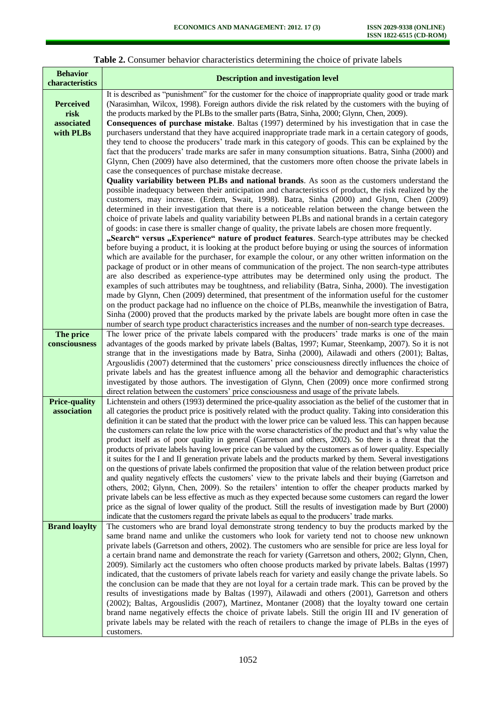| <b>Behavior</b><br>characteristics                  | <b>Description and investigation level</b>                                                                                                                                                                                                                                                                                                                                                                                                                                                                                                                                                                                                                                                                                                                                                                                                                                                                                                                                                                                                                                                                                                                                                                                                                                                                                                                                                                                                                                        |
|-----------------------------------------------------|-----------------------------------------------------------------------------------------------------------------------------------------------------------------------------------------------------------------------------------------------------------------------------------------------------------------------------------------------------------------------------------------------------------------------------------------------------------------------------------------------------------------------------------------------------------------------------------------------------------------------------------------------------------------------------------------------------------------------------------------------------------------------------------------------------------------------------------------------------------------------------------------------------------------------------------------------------------------------------------------------------------------------------------------------------------------------------------------------------------------------------------------------------------------------------------------------------------------------------------------------------------------------------------------------------------------------------------------------------------------------------------------------------------------------------------------------------------------------------------|
| <b>Perceived</b><br>risk<br>associated<br>with PLBs | It is described as "punishment" for the customer for the choice of inappropriate quality good or trade mark<br>(Narasimhan, Wilcox, 1998). Foreign authors divide the risk related by the customers with the buying of<br>the products marked by the PLBs to the smaller parts (Batra, Sinha, 2000; Glynn, Chen, 2009).<br><b>Consequences of purchase mistake</b> . Baltas (1997) determined by his investigation that in case the<br>purchasers understand that they have acquired inappropriate trade mark in a certain category of goods,<br>they tend to choose the producers' trade mark in this category of goods. This can be explained by the<br>fact that the producers' trade marks are safer in many consumption situations. Batra, Sinha (2000) and<br>Glynn, Chen (2009) have also determined, that the customers more often choose the private labels in<br>case the consequences of purchase mistake decrease.                                                                                                                                                                                                                                                                                                                                                                                                                                                                                                                                                    |
|                                                     | Quality variability between PLBs and national brands. As soon as the customers understand the<br>possible inadequacy between their anticipation and characteristics of product, the risk realized by the<br>customers, may increase. (Erdem, Swait, 1998). Batra, Sinha (2000) and Glynn, Chen (2009)<br>determined in their investigation that there is a noticeable relation between the change between the<br>choice of private labels and quality variability between PLBs and national brands in a certain category<br>of goods: in case there is smaller change of quality, the private labels are chosen more frequently.<br>"Search" versus "Experience" nature of product features. Search-type attributes may be checked                                                                                                                                                                                                                                                                                                                                                                                                                                                                                                                                                                                                                                                                                                                                                |
|                                                     | before buying a product, it is looking at the product before buying or using the sources of information<br>which are available for the purchaser, for example the colour, or any other written information on the<br>package of product or in other means of communication of the project. The non search-type attributes<br>are also described as experience-type attributes may be determined only using the product. The<br>examples of such attributes may be toughtness, and reliability (Batra, Sinha, 2000). The investigation<br>made by Glynn, Chen (2009) determined, that presentment of the information useful for the customer<br>on the product package had no influence on the choice of PLBs, meanwhile the investigation of Batra,                                                                                                                                                                                                                                                                                                                                                                                                                                                                                                                                                                                                                                                                                                                               |
|                                                     | Sinha (2000) proved that the products marked by the private labels are bought more often in case the<br>number of search type product characteristics increases and the number of non-search type decreases.                                                                                                                                                                                                                                                                                                                                                                                                                                                                                                                                                                                                                                                                                                                                                                                                                                                                                                                                                                                                                                                                                                                                                                                                                                                                      |
| The price<br>consciousness                          | The lower price of the private labels compared with the producers' trade marks is one of the main<br>advantages of the goods marked by private labels (Baltas, 1997; Kumar, Steenkamp, 2007). So it is not<br>strange that in the investigations made by Batra, Sinha (2000), Ailawadi and others (2001); Baltas,<br>Argouslidis (2007) determined that the customers' price consciousness directly influences the choice of<br>private labels and has the greatest influence among all the behavior and demographic characteristics<br>investigated by those authors. The investigation of Glynn, Chen (2009) once more confirmed strong<br>direct relation between the customers' price consciousness and usage of the private labels.                                                                                                                                                                                                                                                                                                                                                                                                                                                                                                                                                                                                                                                                                                                                          |
| <b>Price-quality</b><br>association                 | Lichtenstein and others (1993) determined the price-quality association as the belief of the customer that in<br>all categories the product price is positively related with the product quality. Taking into consideration this<br>definition it can be stated that the product with the lower price can be valued less. This can happen because<br>the customers can relate the low price with the worse characteristics of the product and that's why value the<br>product itself as of poor quality in general (Garretson and others, 2002). So there is a threat that the<br>products of private labels having lower price can be valued by the customers as of lower quality. Especially<br>it suites for the I and II generation private labels and the products marked by them. Several investigations<br>on the questions of private labels confirmed the proposition that value of the relation between product price<br>and quality negatively effects the customers' view to the private labels and their buying (Garretson and<br>others, 2002; Glynn, Chen, 2009). So the retailers' intention to offer the cheaper products marked by<br>private labels can be less effective as much as they expected because some customers can regard the lower<br>price as the signal of lower quality of the product. Still the results of investigation made by Burt (2000)<br>indicate that the customers regard the private labels as equal to the producers' trade marks. |
| <b>Brand loaylty</b>                                | The customers who are brand loyal demonstrate strong tendency to buy the products marked by the<br>same brand name and unlike the customers who look for variety tend not to choose new unknown<br>private labels (Garretson and others, 2002). The customers who are sensible for price are less loyal for<br>a certain brand name and demonstrate the reach for variety (Garretson and others, 2002; Glynn, Chen,<br>2009). Similarly act the customers who often choose products marked by private labels. Baltas (1997)<br>indicated, that the customers of private labels reach for variety and easily change the private labels. So<br>the conclusion can be made that they are not loyal for a certain trade mark. This can be proved by the<br>results of investigations made by Baltas (1997), Ailawadi and others (2001), Garretson and others<br>(2002); Baltas, Argouslidis (2007), Martinez, Montaner (2008) that the loyalty toward one certain<br>brand name negatively effects the choice of private labels. Still the origin III and IV generation of<br>private labels may be related with the reach of retailers to change the image of PLBs in the eyes of<br>customers.                                                                                                                                                                                                                                                                                      |

# **Table 2.** Consumer behavior characteristics determining the choice of private labels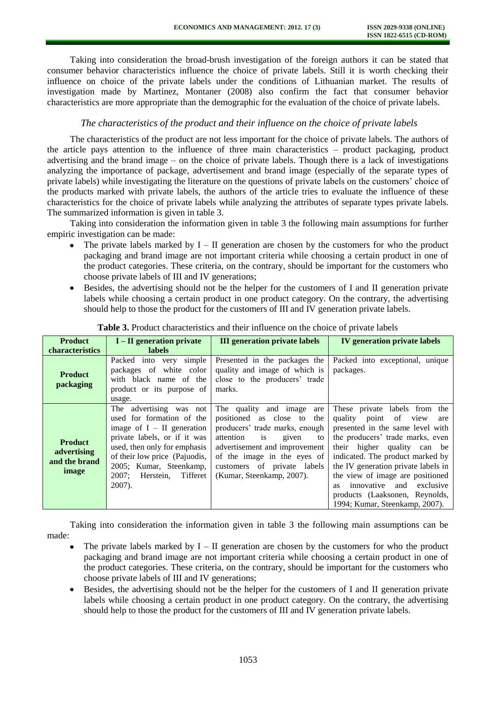Taking into consideration the broad-brush investigation of the foreign authors it can be stated that consumer behavior characteristics influence the choice of private labels. Still it is worth checking their influence on choice of the private labels under the conditions of Lithuanian market. The results of investigation made by Martinez, Montaner (2008) also confirm the fact that consumer behavior characteristics are more appropriate than the demographic for the evaluation of the choice of private labels.

### *The characteristics of the product and their influence on the choice of private labels*

The characteristics of the product are not less important for the choice of private labels. The authors of the article pays attention to the influence of three main characteristics – product packaging, product advertising and the brand image – on the choice of private labels. Though there is a lack of investigations analyzing the importance of package, advertisement and brand image (especially of the separate types of private labels) while investigating the literature on the questions of private labels on the customers' choice of the products marked with private labels, the authors of the article tries to evaluate the influence of these characteristics for the choice of private labels while analyzing the attributes of separate types private labels. The summarized information is given in table 3.

Taking into consideration the information given in table 3 the following main assumptions for further empiric investigation can be made:

- The private labels marked by  $I II$  generation are chosen by the customers for who the product packaging and brand image are not important criteria while choosing a certain product in one of the product categories. These criteria, on the contrary, should be important for the customers who choose private labels of III and IV generations;
- Besides, the advertising should not be the helper for the customers of I and II generation private labels while choosing a certain product in one product category. On the contrary, the advertising should help to those the product for the customers of III and IV generation private labels.

| <b>Product</b>                                          | $I - II$ generation private                                                                                                                                                                                                                               | <b>III</b> generation private labels                                                                                                                                                                                                                                 | <b>IV</b> generation private labels                                                                                                                                                                                                                                                                                                                                                          |
|---------------------------------------------------------|-----------------------------------------------------------------------------------------------------------------------------------------------------------------------------------------------------------------------------------------------------------|----------------------------------------------------------------------------------------------------------------------------------------------------------------------------------------------------------------------------------------------------------------------|----------------------------------------------------------------------------------------------------------------------------------------------------------------------------------------------------------------------------------------------------------------------------------------------------------------------------------------------------------------------------------------------|
| characteristics                                         | <b>labels</b>                                                                                                                                                                                                                                             |                                                                                                                                                                                                                                                                      |                                                                                                                                                                                                                                                                                                                                                                                              |
| <b>Product</b><br>packaging                             | Packed into very<br>simple<br>packages of white color<br>with black name of the<br>product or its purpose of<br>usage.                                                                                                                                    | Presented in the packages the<br>quality and image of which is<br>close to the producers' trade<br>marks.                                                                                                                                                            | Packed into exceptional, unique<br>packages.                                                                                                                                                                                                                                                                                                                                                 |
| <b>Product</b><br>advertising<br>and the brand<br>image | The advertising was not<br>used for formation of the<br>image of $I - II$ generation<br>private labels, or if it was<br>used, then only for emphasis<br>of their low price (Pajuodis,<br>2005; Kumar, Steenkamp,<br>Herstein, Tifferet<br>2007:<br>2007). | The quality and image<br>are<br>positioned as close to<br>the<br>producers' trade marks, enough<br>attention<br><i>is</i><br>given<br>to<br>advertisement and improvement<br>of the image in the eyes of<br>customers of private labels<br>(Kumar, Steenkamp, 2007). | These private labels from the<br>quality point of view<br>are<br>presented in the same level with<br>the producers' trade marks, even<br>their higher quality can be<br>indicated. The product marked by<br>the IV generation private labels in<br>the view of image are positioned<br>innovative<br>and exclusive<br>as<br>products (Laaksonen, Reynolds,<br>1994; Kumar, Steenkamp, 2007). |

**Table 3.** Product characteristics and their influence on the choice of private labels

Taking into consideration the information given in table 3 the following main assumptions can be made:

- The private labels marked by  $I II$  generation are chosen by the customers for who the product packaging and brand image are not important criteria while choosing a certain product in one of the product categories. These criteria, on the contrary, should be important for the customers who choose private labels of III and IV generations;
- Besides, the advertising should not be the helper for the customers of I and II generation private labels while choosing a certain product in one product category. On the contrary, the advertising should help to those the product for the customers of III and IV generation private labels.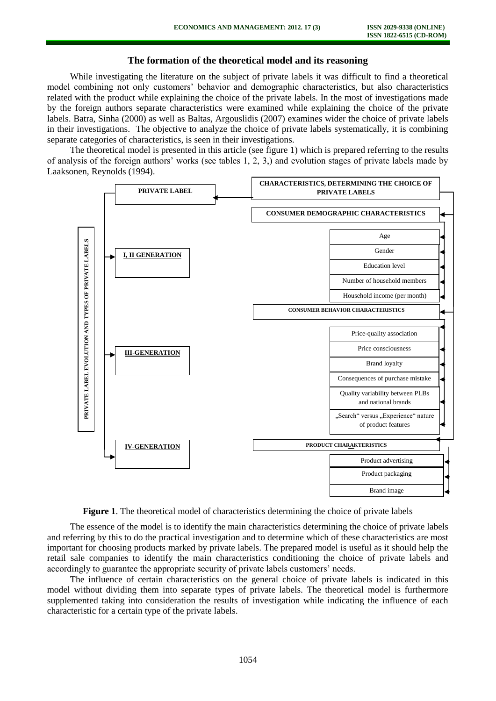# **The formation of the theoretical model and its reasoning**

While investigating the literature on the subject of private labels it was difficult to find a theoretical model combining not only customers' behavior and demographic characteristics, but also characteristics related with the product while explaining the choice of the private labels. In the most of investigations made by the foreign authors separate characteristics were examined while explaining the choice of the private labels. Batra, Sinha (2000) as well as Baltas, Argouslidis (2007) examines wider the choice of private labels in their investigations. The objective to analyze the choice of private labels systematically, it is combining separate categories of characteristics, is seen in their investigations.

The theoretical model is presented in this article (see figure 1) which is prepared referring to the results of analysis of the foreign authors' works (see tables 1, 2, 3,) and evolution stages of private labels made by Laaksonen, Reynolds (1994).



**Figure 1**. The theoretical model of characteristics determining the choice of private labels

The essence of the model is to identify the main characteristics determining the choice of private labels and referring by this to do the practical investigation and to determine which of these characteristics are most important for choosing products marked by private labels. The prepared model is useful as it should help the retail sale companies to identify the main characteristics conditioning the choice of private labels and accordingly to guarantee the appropriate security of private labels customers' needs.

The influence of certain characteristics on the general choice of private labels is indicated in this model without dividing them into separate types of private labels. The theoretical model is furthermore supplemented taking into consideration the results of investigation while indicating the influence of each characteristic for a certain type of the private labels.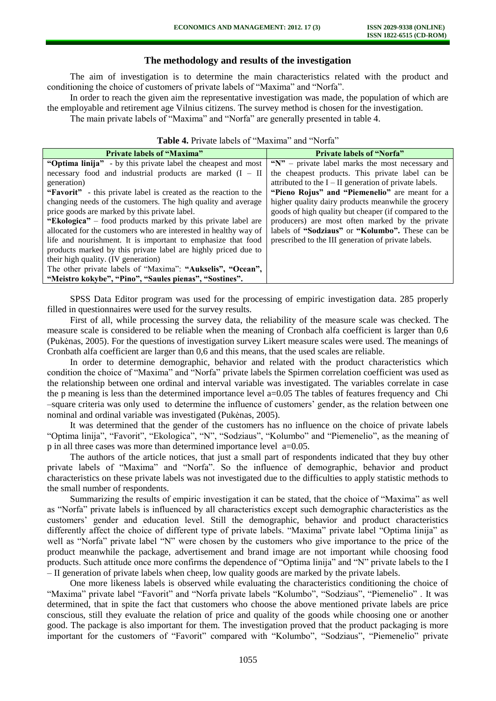# **The methodology and results of the investigation**

The aim of investigation is to determine the main characteristics related with the product and conditioning the choice of customers of private labels of "Maxima" and "Norfa".

In order to reach the given aim the representative investigation was made, the population of which are the employable and retirement age Vilnius citizens. The survey method is chosen for the investigation.

The main private labels of "Maxima" and "Norfa" are generally presented in table 4.

| <b>Private labels of "Maxima"</b>                                | <b>Private labels of "Norfa"</b>                         |  |  |  |
|------------------------------------------------------------------|----------------------------------------------------------|--|--|--|
| "Optima linija" - by this private label the cheapest and most    | " $N$ " – private label marks the most necessary and     |  |  |  |
| necessary food and industrial products are marked $(I - II)$     | the cheapest products. This private label can be         |  |  |  |
| generation)                                                      | attributed to the $I - II$ generation of private labels. |  |  |  |
| "Favorit" - this private label is created as the reaction to the | "Pieno Rojus" and "Piemenelio" are meant for a           |  |  |  |
| changing needs of the customers. The high quality and average    | higher quality dairy products meanwhile the grocery      |  |  |  |
| price goods are marked by this private label.                    | goods of high quality but cheaper (if compared to the    |  |  |  |
| "Ekologica" – food products marked by this private label are     | producers) are most often marked by the private          |  |  |  |
| allocated for the customers who are interested in healthy way of | labels of "Sodziaus" or "Kolumbo". These can be          |  |  |  |
| life and nourishment. It is important to emphasize that food     | prescribed to the III generation of private labels.      |  |  |  |
| products marked by this private label are highly priced due to   |                                                          |  |  |  |
| their high quality. (IV generation)                              |                                                          |  |  |  |
| The other private labels of "Maxima": "Aukselis", "Ocean",       |                                                          |  |  |  |
| "Meistro kokybe", "Pino", "Saules pienas", "Sostines".           |                                                          |  |  |  |
|                                                                  |                                                          |  |  |  |

### **Table 4.** Private labels of "Maxima" and "Norfa"

SPSS Data Editor program was used for the processing of empiric investigation data. 285 properly filled in questionnaires were used for the survey results.

First of all, while processing the survey data, the reliability of the measure scale was checked. The measure scale is considered to be reliable when the meaning of Cronbach alfa coefficient is larger than 0,6 (Pukėnas, 2005). For the questions of investigation survey Likert measure scales were used. The meanings of Cronbath alfa coefficient are larger than 0,6 and this means, that the used scales are reliable.

In order to determine demographic, behavior and related with the product characteristics which condition the choice of "Maxima" and "Norfa" private labels the Spirmen correlation coefficient was used as the relationship between one ordinal and interval variable was investigated. The variables correlate in case the p meaning is less than the determined importance level a=0.05 The tables of features frequency and Chi –square criteria was only used to determine the influence of customers' gender, as the relation between one nominal and ordinal variable was investigated (Pukėnas, 2005).

It was determined that the gender of the customers has no influence on the choice of private labels "Optima linija", "Favorit", "Ekologica", "N", "Sodziaus", "Kolumbo" and "Piemenelio", as the meaning of p in all three cases was more than determined importance level a=0.05.

The authors of the article notices, that just a small part of respondents indicated that they buy other private labels of "Maxima" and "Norfa". So the influence of demographic, behavior and product characteristics on these private labels was not investigated due to the difficulties to apply statistic methods to the small number of respondents.

Summarizing the results of empiric investigation it can be stated, that the choice of "Maxima" as well as "Norfa" private labels is influenced by all characteristics except such demographic characteristics as the customers' gender and education level. Still the demographic, behavior and product characteristics differently affect the choice of different type of private labels. "Maxima" private label "Optima linija" as well as "Norfa" private label "N" were chosen by the customers who give importance to the price of the product meanwhile the package, advertisement and brand image are not important while choosing food products. Such attitude once more confirms the dependence of "Optima linija" and "N" private labels to the I – II generation of private labels when cheep, low quality goods are marked by the private labels.

One more likeness labels is observed while evaluating the characteristics conditioning the choice of "Maxima" private label "Favorit" and "Norfa private labels "Kolumbo", "Sodziaus", "Piemenelio" . It was determined, that in spite the fact that customers who choose the above mentioned private labels are price conscious, still they evaluate the relation of price and quality of the goods while choosing one or another good. The package is also important for them. The investigation proved that the product packaging is more important for the customers of "Favorit" compared with "Kolumbo", "Sodziaus", "Piemenelio" private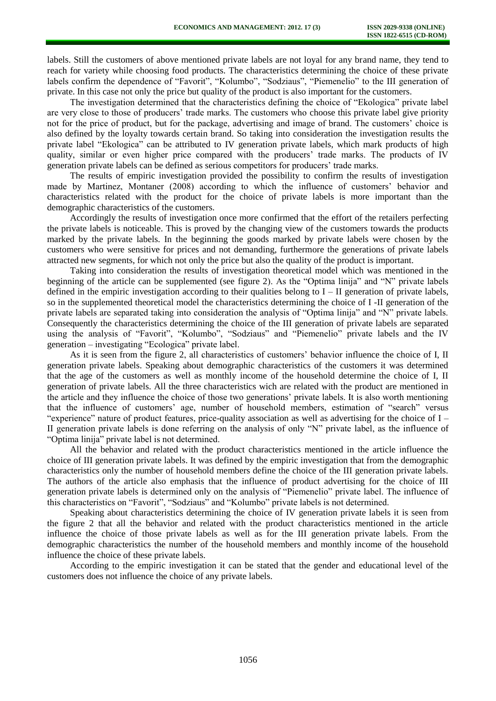labels. Still the customers of above mentioned private labels are not loyal for any brand name, they tend to reach for variety while choosing food products. The characteristics determining the choice of these private labels confirm the dependence of "Favorit", "Kolumbo", "Sodziaus", "Piemenelio" to the III generation of private. In this case not only the price but quality of the product is also important for the customers.

The investigation determined that the characteristics defining the choice of "Ekologica" private label are very close to those of producers' trade marks. The customers who choose this private label give priority not for the price of product, but for the package, advertising and image of brand. The customers' choice is also defined by the loyalty towards certain brand. So taking into consideration the investigation results the private label "Ekologica" can be attributed to IV generation private labels, which mark products of high quality, similar or even higher price compared with the producers' trade marks. The products of IV generation private labels can be defined as serious competitors for producers' trade marks.

The results of empiric investigation provided the possibility to confirm the results of investigation made by Martinez, Montaner (2008) according to which the influence of customers' behavior and characteristics related with the product for the choice of private labels is more important than the demographic characteristics of the customers.

Accordingly the results of investigation once more confirmed that the effort of the retailers perfecting the private labels is noticeable. This is proved by the changing view of the customers towards the products marked by the private labels. In the beginning the goods marked by private labels were chosen by the customers who were sensitive for prices and not demanding, furthermore the generations of private labels attracted new segments, for which not only the price but also the quality of the product is important.

Taking into consideration the results of investigation theoretical model which was mentioned in the beginning of the article can be supplemented (see figure 2). As the "Optima linija" and "N" private labels defined in the empiric investigation according to their qualities belong to  $I - II$  generation of private labels, so in the supplemented theoretical model the characteristics determining the choice of I -II generation of the private labels are separated taking into consideration the analysis of "Optima linija" and "N" private labels. Consequently the characteristics determining the choice of the III generation of private labels are separated using the analysis of "Favorit", "Kolumbo", "Sodziaus" and "Piemenelio" private labels and the IV generation – investigating "Ecologica" private label.

As it is seen from the figure 2, all characteristics of customers' behavior influence the choice of I, II generation private labels. Speaking about demographic characteristics of the customers it was determined that the age of the customers as well as monthly income of the household determine the choice of I, II generation of private labels. All the three characteristics wich are related with the product are mentioned in the article and they influence the choice of those two generations' private labels. It is also worth mentioning that the influence of customers' age, number of household members, estimation of "search" versus "experience" nature of product features, price-quality association as well as advertising for the choice of I – II generation private labels is done referring on the analysis of only "N" private label, as the influence of "Optima linija" private label is not determined.

All the behavior and related with the product characteristics mentioned in the article influence the choice of III generation private labels. It was defined by the empiric investigation that from the demographic characteristics only the number of household members define the choice of the III generation private labels. The authors of the article also emphasis that the influence of product advertising for the choice of III generation private labels is determined only on the analysis of "Piemenelio" private label. The influence of this characteristics on "Favorit", "Sodziaus" and "Kolumbo" private labels is not determined.

Speaking about characteristics determining the choice of IV generation private labels it is seen from the figure 2 that all the behavior and related with the product characteristics mentioned in the article influence the choice of those private labels as well as for the III generation private labels. From the demographic characteristics the number of the household members and monthly income of the household influence the choice of these private labels.

According to the empiric investigation it can be stated that the gender and educational level of the customers does not influence the choice of any private labels.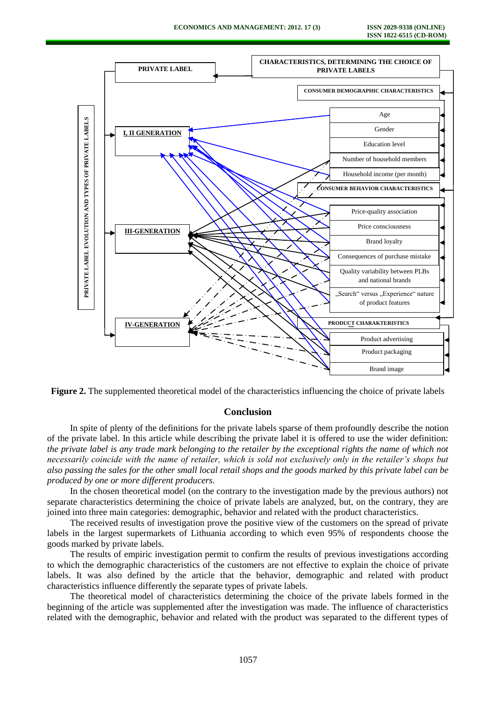

**Figure 2.** The supplemented theoretical model of the characteristics influencing the choice of private labels

# **Conclusion**

In spite of plenty of the definitions for the private labels sparse of them profoundly describe the notion of the private label. In this article while describing the private label it is offered to use the wider definition: *the private label is any trade mark belonging to the retailer by the exceptional rights the name of which not necessarily coincide with the name of retailer, which is sold not exclusively only in the retailer's shops but also passing the sales for the other small local retail shops and the goods marked by this private label can be produced by one or more different producers.*

In the chosen theoretical model (on the contrary to the investigation made by the previous authors) not separate characteristics determining the choice of private labels are analyzed, but, on the contrary, they are joined into three main categories: demographic, behavior and related with the product characteristics.

The received results of investigation prove the positive view of the customers on the spread of private labels in the largest supermarkets of Lithuania according to which even 95% of respondents choose the goods marked by private labels.

The results of empiric investigation permit to confirm the results of previous investigations according to which the demographic characteristics of the customers are not effective to explain the choice of private labels. It was also defined by the article that the behavior, demographic and related with product characteristics influence differently the separate types of private labels.

The theoretical model of characteristics determining the choice of the private labels formed in the beginning of the article was supplemented after the investigation was made. The influence of characteristics related with the demographic, behavior and related with the product was separated to the different types of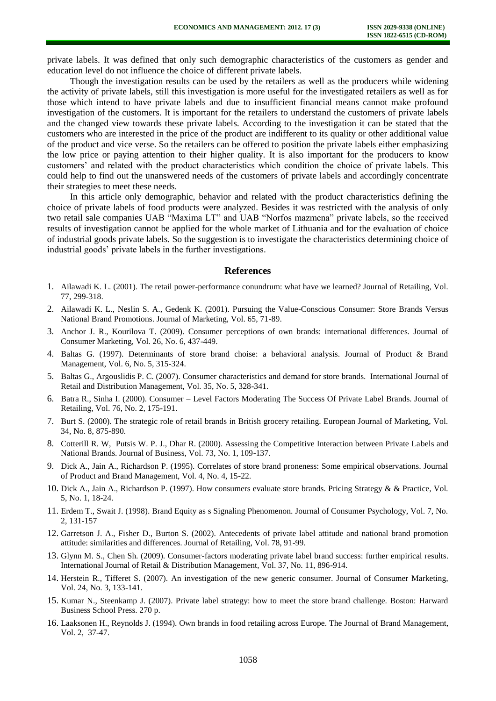private labels. It was defined that only such demographic characteristics of the customers as gender and education level do not influence the choice of different private labels.

Though the investigation results can be used by the retailers as well as the producers while widening the activity of private labels, still this investigation is more useful for the investigated retailers as well as for those which intend to have private labels and due to insufficient financial means cannot make profound investigation of the customers. It is important for the retailers to understand the customers of private labels and the changed view towards these private labels. According to the investigation it can be stated that the customers who are interested in the price of the product are indifferent to its quality or other additional value of the product and vice verse. So the retailers can be offered to position the private labels either emphasizing the low price or paying attention to their higher quality. It is also important for the producers to know customers' and related with the product characteristics which condition the choice of private labels. This could help to find out the unanswered needs of the customers of private labels and accordingly concentrate their strategies to meet these needs.

In this article only demographic, behavior and related with the product characteristics defining the choice of private labels of food products were analyzed. Besides it was restricted with the analysis of only two retail sale companies UAB "Maxima LT" and UAB "Norfos mazmena" private labels, so the received results of investigation cannot be applied for the whole market of Lithuania and for the evaluation of choice of industrial goods private labels. So the suggestion is to investigate the characteristics determining choice of industrial goods' private labels in the further investigations.

### **References**

- 1. Ailawadi K. L. (2001). The retail power-performance conundrum: what have we learned? Journal of Retailing, Vol. 77, 299-318.
- 2. Ailawadi K. L., Neslin S. A., Gedenk K. (2001). Pursuing the Value-Conscious Consumer: Store Brands Versus National Brand Promotions. Journal of Marketing, Vol. 65, 71-89.
- 3. Anchor J. R., Kourilova T. (2009). Consumer perceptions of own brands: international differences. Journal of Consumer Marketing, Vol. 26, No. 6, 437-449.
- 4. Baltas G. (1997). Determinants of store brand choise: a behavioral analysis. Journal of Product & Brand Management, Vol. 6, No. 5, 315-324.
- 5. Baltas G., Argouslidis P. C. (2007). Consumer characteristics and demand for store brands. International Journal of Retail and Distribution Management, Vol. 35, No. 5, 328-341.
- 6. Batra R., Sinha I. (2000). Consumer Level Factors Moderating The Success Of Private Label Brands. Journal of Retailing, Vol. 76, No. 2, 175-191.
- 7. Burt S. (2000). The strategic role of retail brands in British grocery retailing. European Journal of Marketing, Vol. 34, No. 8, 875-890.
- 8. Cotterill R. W, Putsis W. P. J., Dhar R. (2000). Assessing the Competitive Interaction between Private Labels and National Brands. Journal of Business, Vol. 73, No. 1, 109-137.
- 9. Dick A., Jain A., Richardson P. (1995). Correlates of store brand proneness: Some empirical observations. Journal of Product and Brand Management, Vol. 4, No. 4, 15-22.
- 10. Dick A., Jain A., Richardson P. (1997). How consumers evaluate store brands. Pricing Strategy & & Practice, Vol. 5, No. 1, 18-24.
- 11. Erdem T., Swait J. (1998). Brand Equity as s Signaling Phenomenon. Journal of Consumer Psychology, Vol. 7, No. 2, 131-157
- 12. Garretson J. A., Fisher D., Burton S. (2002). Antecedents of private label attitude and national brand promotion attitude: similarities and differences. Journal of Retailing, Vol. 78, 91-99.
- 13. Glynn M. S., Chen Sh. (2009). Consumer-factors moderating private label brand success: further empirical results. International Journal of Retail & Distribution Management, Vol. 37, No. 11, 896-914.
- 14. Herstein R., Tifferet S. (2007). An investigation of the new generic consumer. Journal of Consumer Marketing, Vol. 24, No. 3, 133-141.
- 15. Kumar N., Steenkamp J. (2007). Private label strategy: how to meet the store brand challenge. Boston: Harward Business School Press. 270 p.
- 16. Laaksonen H., Reynolds J. (1994). Own brands in food retailing across Europe. The Journal of Brand Management, Vol. 2, 37-47.